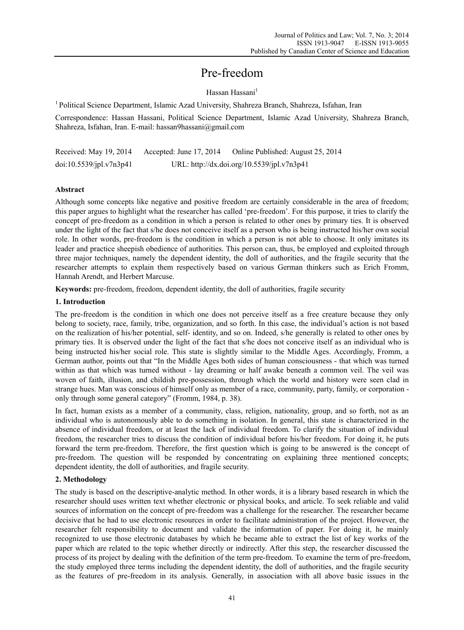# Pre-freedom

# Hassan Hassani<sup>1</sup>

1 Political Science Department, Islamic Azad University, Shahreza Branch, Shahreza, Isfahan, Iran

Correspondence: Hassan Hassani, Political Science Department, Islamic Azad University, Shahreza Branch, Shahreza, Isfahan, Iran. E-mail: hassan9hassani@gmail.com

Received: May 19, 2014 Accepted: June 17, 2014 Online Published: August 25, 2014 doi:10.5539/jpl.v7n3p41 URL: http://dx.doi.org/10.5539/jpl.v7n3p41

# **Abstract**

Although some concepts like negative and positive freedom are certainly considerable in the area of freedom; this paper argues to highlight what the researcher has called 'pre-freedom'. For this purpose, it tries to clarify the concept of pre-freedom as a condition in which a person is related to other ones by primary ties. It is observed under the light of the fact that s/he does not conceive itself as a person who is being instructed his/her own social role. In other words, pre-freedom is the condition in which a person is not able to choose. It only imitates its leader and practice sheepish obedience of authorities. This person can, thus, be employed and exploited through three major techniques, namely the dependent identity, the doll of authorities, and the fragile security that the researcher attempts to explain them respectively based on various German thinkers such as Erich Fromm, Hannah Arendt, and Herbert Marcuse.

**Keywords:** pre-freedom, freedom, dependent identity, the doll of authorities, fragile security

## **1. Introduction**

The pre-freedom is the condition in which one does not perceive itself as a free creature because they only belong to society, race, family, tribe, organization, and so forth. In this case, the individual's action is not based on the realization of his/her potential, self- identity, and so on. Indeed, s/he generally is related to other ones by primary ties. It is observed under the light of the fact that s/he does not conceive itself as an individual who is being instructed his/her social role. This state is slightly similar to the Middle Ages. Accordingly, Fromm, a German author, points out that "In the Middle Ages both sides of human consciousness - that which was turned within as that which was turned without - lay dreaming or half awake beneath a common veil. The veil was woven of faith, illusion, and childish pre-possession, through which the world and history were seen clad in strange hues. Man was conscious of himself only as member of a race, community, party, family, or corporation only through some general category" (Fromm, 1984, p. 38).

In fact, human exists as a member of a community, class, religion, nationality, group, and so forth, not as an individual who is autonomously able to do something in isolation. In general, this state is characterized in the absence of individual freedom, or at least the lack of individual freedom. To clarify the situation of individual freedom, the researcher tries to discuss the condition of individual before his/her freedom. For doing it, he puts forward the term pre-freedom. Therefore, the first question which is going to be answered is the concept of pre-freedom. The question will be responded by concentrating on explaining three mentioned concepts; dependent identity, the doll of authorities, and fragile security.

# **2. Methodology**

The study is based on the descriptive-analytic method. In other words, it is a library based research in which the researcher should uses written text whether electronic or physical books, and article. To seek reliable and valid sources of information on the concept of pre-freedom was a challenge for the researcher. The researcher became decisive that he had to use electronic resources in order to facilitate administration of the project. However, the researcher felt responsibility to document and validate the information of paper. For doing it, he mainly recognized to use those electronic databases by which he became able to extract the list of key works of the paper which are related to the topic whether directly or indirectly. After this step, the researcher discussed the process of its project by dealing with the definition of the term pre-freedom. To examine the term of pre-freedom, the study employed three terms including the dependent identity, the doll of authorities, and the fragile security as the features of pre-freedom in its analysis. Generally, in association with all above basic issues in the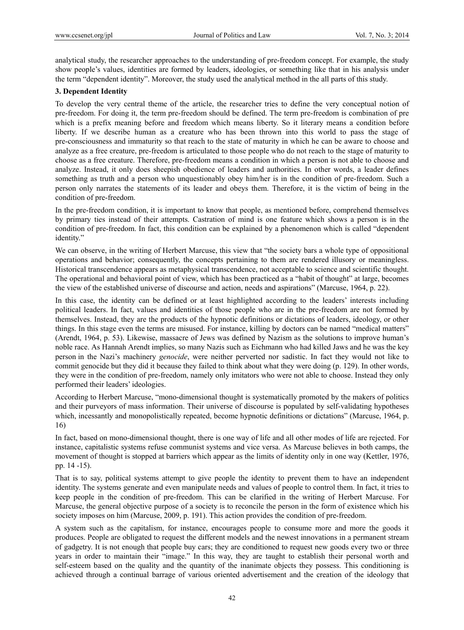analytical study, the researcher approaches to the understanding of pre-freedom concept. For example, the study show people's values, identities are formed by leaders, ideologies, or something like that in his analysis under the term "dependent identity". Moreover, the study used the analytical method in the all parts of this study.

## **3. Dependent Identity**

To develop the very central theme of the article, the researcher tries to define the very conceptual notion of pre-freedom. For doing it, the term pre-freedom should be defined. The term pre-freedom is combination of pre which is a prefix meaning before and freedom which means liberty. So it literary means a condition before liberty. If we describe human as a creature who has been thrown into this world to pass the stage of pre-consciousness and immaturity so that reach to the state of maturity in which he can be aware to choose and analyze as a free creature, pre-freedom is articulated to those people who do not reach to the stage of maturity to choose as a free creature. Therefore, pre-freedom means a condition in which a person is not able to choose and analyze. Instead, it only does sheepish obedience of leaders and authorities. In other words, a leader defines something as truth and a person who unquestionably obey him/her is in the condition of pre-freedom. Such a person only narrates the statements of its leader and obeys them. Therefore, it is the victim of being in the condition of pre-freedom.

In the pre-freedom condition, it is important to know that people, as mentioned before, comprehend themselves by primary ties instead of their attempts. Castration of mind is one feature which shows a person is in the condition of pre-freedom. In fact, this condition can be explained by a phenomenon which is called "dependent identity."

We can observe, in the writing of Herbert Marcuse, this view that "the society bars a whole type of oppositional operations and behavior; consequently, the concepts pertaining to them are rendered illusory or meaningless. Historical transcendence appears as metaphysical transcendence, not acceptable to science and scientific thought. The operational and behavioral point of view, which has been practiced as a "habit of thought" at large, becomes the view of the established universe of discourse and action, needs and aspirations" (Marcuse, 1964, p. 22).

In this case, the identity can be defined or at least highlighted according to the leaders' interests including political leaders. In fact, values and identities of those people who are in the pre-freedom are not formed by themselves. Instead, they are the products of the hypnotic definitions or dictations of leaders, ideology, or other things. In this stage even the terms are misused. For instance, killing by doctors can be named "medical matters" (Arendt, 1964, p. 53). Likewise, massacre of Jews was defined by Nazism as the solutions to improve human's noble race. As Hannah Arendt implies, so many Nazis such as Eichmann who had killed Jaws and he was the key person in the Nazi's machinery *genocide*, were neither perverted nor sadistic. In fact they would not like to commit genocide but they did it because they failed to think about what they were doing (p. 129). In other words, they were in the condition of pre-freedom, namely only imitators who were not able to choose. Instead they only performed their leaders' ideologies.

According to Herbert Marcuse, "mono-dimensional thought is systematically promoted by the makers of politics and their purveyors of mass information. Their universe of discourse is populated by self-validating hypotheses which, incessantly and monopolistically repeated, become hypnotic definitions or dictations" (Marcuse, 1964, p. 16)

In fact, based on mono-dimensional thought, there is one way of life and all other modes of life are rejected. For instance, capitalistic systems refuse communist systems and vice versa. As Marcuse believes in both camps, the movement of thought is stopped at barriers which appear as the limits of identity only in one way (Kettler, 1976, pp. 14 -15).

That is to say, political systems attempt to give people the identity to prevent them to have an independent identity. The systems generate and even manipulate needs and values of people to control them. In fact, it tries to keep people in the condition of pre-freedom. This can be clarified in the writing of Herbert Marcuse. For Marcuse, the general objective purpose of a society is to reconcile the person in the form of existence which his society imposes on him (Marcuse, 2009, p. 191). This action provides the condition of pre-freedom.

A system such as the capitalism, for instance, encourages people to consume more and more the goods it produces. People are obligated to request the different models and the newest innovations in a permanent stream of gadgetry. It is not enough that people buy cars; they are conditioned to request new goods every two or three years in order to maintain their "image." In this way, they are taught to establish their personal worth and self-esteem based on the quality and the quantity of the inanimate objects they possess. This conditioning is achieved through a continual barrage of various oriented advertisement and the creation of the ideology that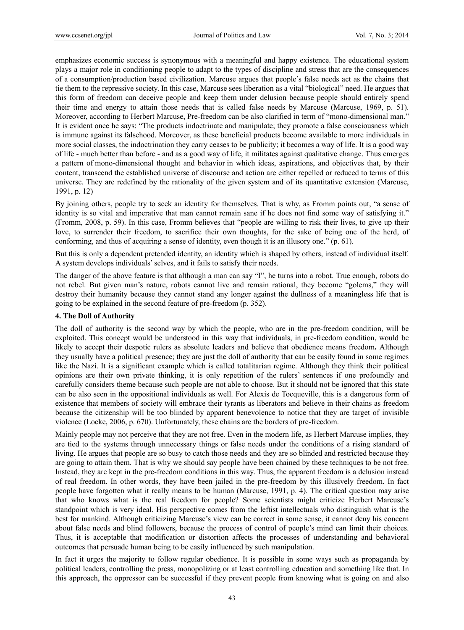emphasizes economic success is synonymous with a meaningful and happy existence. The educational system plays a major role in conditioning people to adapt to the types of discipline and stress that are the consequences of a consumption/production based civilization. Marcuse argues that people's false needs act as the chains that tie them to the repressive society. In this case, Marcuse sees liberation as a vital "biological" need. He argues that this form of freedom can deceive people and keep them under delusion because people should entirely spend their time and energy to attain those needs that is called false needs by Marcuse (Marcuse, 1969, p. 51). Moreover, according to Herbert Marcuse, Pre-freedom can be also clarified in term of "mono-dimensional man." It is evident once he says: "The products indoctrinate and manipulate; they promote a false consciousness which is immune against its falsehood. Moreover, as these beneficial products become available to more individuals in more social classes, the indoctrination they carry ceases to be publicity; it becomes a way of life. It is a good way of life - much better than before - and as a good way of life, it militates against qualitative change. Thus emerges a pattern of mono-dimensional thought and behavior in which ideas, aspirations, and objectives that, by their content, transcend the established universe of discourse and action are either repelled or reduced to terms of this universe. They are redefined by the rationality of the given system and of its quantitative extension (Marcuse, 1991, p. 12)

By joining others, people try to seek an identity for themselves. That is why, as Fromm points out, "a sense of identity is so vital and imperative that man cannot remain sane if he does not find some way of satisfying it." (Fromm, 2008, p. 59). In this case, Fromm believes that "people are willing to risk their lives, to give up their love, to surrender their freedom, to sacrifice their own thoughts, for the sake of being one of the herd, of conforming, and thus of acquiring a sense of identity, even though it is an illusory one." (p. 61).

But this is only a dependent pretended identity, an identity which is shaped by others, instead of individual itself. A system develops individuals' selves, and it fails to satisfy their needs.

The danger of the above feature is that although a man can say "I", he turns into a robot. True enough, robots do not rebel. But given man's nature, robots cannot live and remain rational, they become "golems," they will destroy their humanity because they cannot stand any longer against the dullness of a meaningless life that is going to be explained in the second feature of pre-freedom (p. 352).

#### **4. The Doll of Authority**

The doll of authority is the second way by which the people, who are in the pre-freedom condition, will be exploited. This concept would be understood in this way that individuals, in pre-freedom condition, would be likely to accept their despotic rulers as absolute leaders and believe that obedience means freedom**.** Although they usually have a political presence; they are just the doll of authority that can be easily found in some regimes like the Nazi. It is a significant example which is called totalitarian regime. Although they think their political opinions are their own private thinking, it is only repetition of the rulers' sentences if one profoundly and carefully considers theme because such people are not able to choose. But it should not be ignored that this state can be also seen in the oppositional individuals as well. For Alexis de Tocqueville, this is a dangerous form of existence that members of society will embrace their tyrants as liberators and believe in their chains as freedom because the citizenship will be too blinded by apparent benevolence to notice that they are target of invisible violence (Locke, 2006, p. 670). Unfortunately, these chains are the borders of pre-freedom.

Mainly people may not perceive that they are not free. Even in the modern life, as Herbert Marcuse implies, they are tied to the systems through unnecessary things or false needs under the conditions of a rising standard of living. He argues that people are so busy to catch those needs and they are so blinded and restricted because they are going to attain them. That is why we should say people have been chained by these techniques to be not free. Instead, they are kept in the pre-freedom conditions in this way. Thus, the apparent freedom is a delusion instead of real freedom. In other words, they have been jailed in the pre-freedom by this illusively freedom. In fact people have forgotten what it really means to be human (Marcuse, 1991, p. 4). The critical question may arise that who knows what is the real freedom for people? Some scientists might criticize Herbert Marcuse's standpoint which is very ideal. His perspective comes from the leftist intellectuals who distinguish what is the best for mankind. Although criticizing Marcuse's view can be correct in some sense, it cannot deny his concern about false needs and blind followers, because the process of control of people's mind can limit their choices. Thus, it is acceptable that modification or distortion affects the processes of understanding and behavioral outcomes that persuade human being to be easily influenced by such manipulation.

In fact it urges the majority to follow regular obedience. It is possible in some ways such as propaganda by political leaders, controlling the press, monopolizing or at least controlling education and something like that. In this approach, the oppressor can be successful if they prevent people from knowing what is going on and also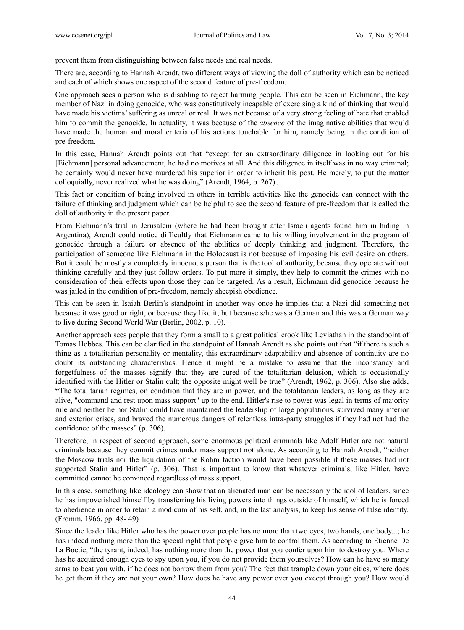prevent them from distinguishing between false needs and real needs.

There are, according to Hannah Arendt, two different ways of viewing the doll of authority which can be noticed and each of which shows one aspect of the second feature of pre-freedom.

One approach sees a person who is disabling to reject harming people. This can be seen in Eichmann, the key member of Nazi in doing genocide, who was constitutively incapable of exercising a kind of thinking that would have made his victims' suffering as unreal or real. It was not because of a very strong feeling of hate that enabled him to commit the genocide. In actuality, it was because of the *absence* of the imaginative abilities that would have made the human and moral criteria of his actions touchable for him, namely being in the condition of pre-freedom.

In this case, Hannah Arendt points out that "except for an extraordinary diligence in looking out for his [Eichmann] personal advancement, he had no motives at all. And this diligence in itself was in no way criminal; he certainly would never have murdered his superior in order to inherit his post. He merely, to put the matter colloquially, never realized what he was doing" (Arendt, 1964, p. 267).

This fact or condition of being involved in others in terrible activities like the genocide can connect with the failure of thinking and judgment which can be helpful to see the second feature of pre-freedom that is called the doll of authority in the present paper.

From Eichmann's trial in Jerusalem (where he had been brought after Israeli agents found him in hiding in Argentina), Arendt could notice difficultly that Eichmann came to his willing involvement in the program of genocide through a failure or absence of the abilities of deeply thinking and judgment. Therefore, the participation of someone like Eichmann in the Holocaust is not because of imposing his evil desire on others. But it could be mostly a completely innocuous person that is the tool of authority, because they operate without thinking carefully and they just follow orders. To put more it simply, they help to commit the crimes with no consideration of their effects upon those they can be targeted. As a result, Eichmann did genocide because he was jailed in the condition of pre-freedom, namely sheepish obedience.

This can be seen in Isaiah Berlin's standpoint in another way once he implies that a Nazi did something not because it was good or right, or because they like it, but because s/he was a German and this was a German way to live during Second World War (Berlin, 2002, p. 10).

Another approach sees people that they form a small to a great political crook like Leviathan in the standpoint of Tomas Hobbes. This can be clarified in the standpoint of Hannah Arendt as she points out that "if there is such a thing as a totalitarian personality or mentality, this extraordinary adaptability and absence of continuity are no doubt its outstanding characteristics. Hence it might be a mistake to assume that the inconstancy and forgetfulness of the masses signify that they are cured of the totalitarian delusion, which is occasionally identified with the Hitler or Stalin cult; the opposite might well be true" (Arendt, 1962, p. 306). Also she adds, **"**The totalitarian regimes, on condition that they are in power, and the totalitarian leaders, as long as they are alive, "command and rest upon mass support" up to the end. Hitler's rise to power was legal in terms of majority rule and neither he nor Stalin could have maintained the leadership of large populations, survived many interior and exterior crises, and braved the numerous dangers of relentless intra-party struggles if they had not had the confidence of the masses" (p. 306).

Therefore, in respect of second approach, some enormous political criminals like Adolf Hitler are not natural criminals because they commit crimes under mass support not alone. As according to Hannah Arendt, "neither the Moscow trials nor the liquidation of the Rohm faction would have been possible if these masses had not supported Stalin and Hitler" (p. 306). That is important to know that whatever criminals, like Hitler, have committed cannot be convinced regardless of mass support.

In this case, something like ideology can show that an alienated man can be necessarily the idol of leaders, since he has impoverished himself by transferring his living powers into things outside of himself, which he is forced to obedience in order to retain a modicum of his self, and, in the last analysis, to keep his sense of false identity. (Fromm, 1966, pp. 48- 49)

Since the leader like Hitler who has the power over people has no more than two eyes, two hands, one body...; he has indeed nothing more than the special right that people give him to control them. As according to Etienne De La Boetie, "the tyrant, indeed, has nothing more than the power that you confer upon him to destroy you. Where has he acquired enough eyes to spy upon you, if you do not provide them yourselves? How can he have so many arms to beat you with, if he does not borrow them from you? The feet that trample down your cities, where does he get them if they are not your own? How does he have any power over you except through you? How would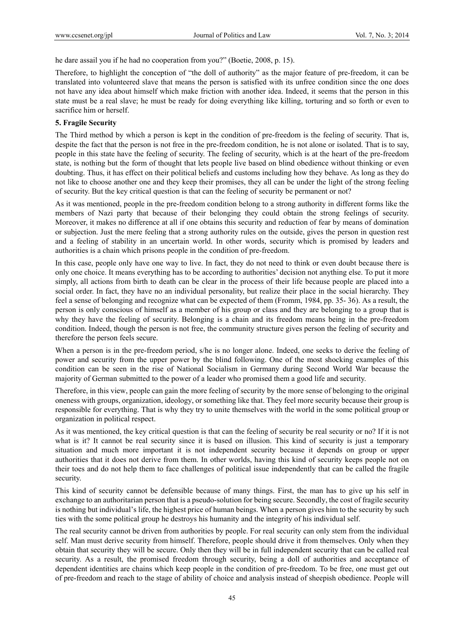he dare assail you if he had no cooperation from you?" (Boetie, 2008, p. 15).

Therefore, to highlight the conception of "the doll of authority" as the major feature of pre-freedom, it can be translated into volunteered slave that means the person is satisfied with its unfree condition since the one does not have any idea about himself which make friction with another idea. Indeed, it seems that the person in this state must be a real slave; he must be ready for doing everything like killing, torturing and so forth or even to sacrifice him or herself.

### **5. Fragile Security**

The Third method by which a person is kept in the condition of pre-freedom is the feeling of security. That is, despite the fact that the person is not free in the pre-freedom condition, he is not alone or isolated. That is to say, people in this state have the feeling of security. The feeling of security, which is at the heart of the pre-freedom state, is nothing but the form of thought that lets people live based on blind obedience without thinking or even doubting. Thus, it has effect on their political beliefs and customs including how they behave. As long as they do not like to choose another one and they keep their promises, they all can be under the light of the strong feeling of security. But the key critical question is that can the feeling of security be permanent or not?

As it was mentioned, people in the pre-freedom condition belong to a strong authority in different forms like the members of Nazi party that because of their belonging they could obtain the strong feelings of security. Moreover, it makes no difference at all if one obtains this security and reduction of fear by means of domination or subjection. Just the mere feeling that a strong authority rules on the outside, gives the person in question rest and a feeling of stability in an uncertain world. In other words, security which is promised by leaders and authorities is a chain which prisons people in the condition of pre-freedom.

In this case, people only have one way to live. In fact, they do not need to think or even doubt because there is only one choice. It means everything has to be according to authorities' decision not anything else. To put it more simply, all actions from birth to death can be clear in the process of their life because people are placed into a social order. In fact, they have no an individual personality, but realize their place in the social hierarchy. They feel a sense of belonging and recognize what can be expected of them (Fromm, 1984, pp. 35- 36). As a result, the person is only conscious of himself as a member of his group or class and they are belonging to a group that is why they have the feeling of security. Belonging is a chain and its freedom means being in the pre-freedom condition. Indeed, though the person is not free, the community structure gives person the feeling of security and therefore the person feels secure.

When a person is in the pre-freedom period, s/he is no longer alone. Indeed, one seeks to derive the feeling of power and security from the upper power by the blind following. One of the most shocking examples of this condition can be seen in the rise of National Socialism in Germany during Second World War because the majority of German submitted to the power of a leader who promised them a good life and security.

Therefore, in this view, people can gain the more feeling of security by the more sense of belonging to the original oneness with groups, organization, ideology, or something like that. They feel more security because their group is responsible for everything. That is why they try to unite themselves with the world in the some political group or organization in political respect.

As it was mentioned, the key critical question is that can the feeling of security be real security or no? If it is not what is it? It cannot be real security since it is based on illusion. This kind of security is just a temporary situation and much more important it is not independent security because it depends on group or upper authorities that it does not derive from them. In other worlds, having this kind of security keeps people not on their toes and do not help them to face challenges of political issue independently that can be called the fragile security.

This kind of security cannot be defensible because of many things. First, the man has to give up his self in exchange to an authoritarian person that is a pseudo-solution for being secure. Secondly, the cost of fragile security is nothing but individual's life, the highest price of human beings. When a person gives him to the security by such ties with the some political group he destroys his humanity and the integrity of his individual self.

The real security cannot be driven from authorities by people. For real security can only stem from the individual self. Man must derive security from himself. Therefore, people should drive it from themselves. Only when they obtain that security they will be secure. Only then they will be in full independent security that can be called real security. As a result, the promised freedom through security, being a doll of authorities and acceptance of dependent identities are chains which keep people in the condition of pre-freedom. To be free, one must get out of pre-freedom and reach to the stage of ability of choice and analysis instead of sheepish obedience. People will